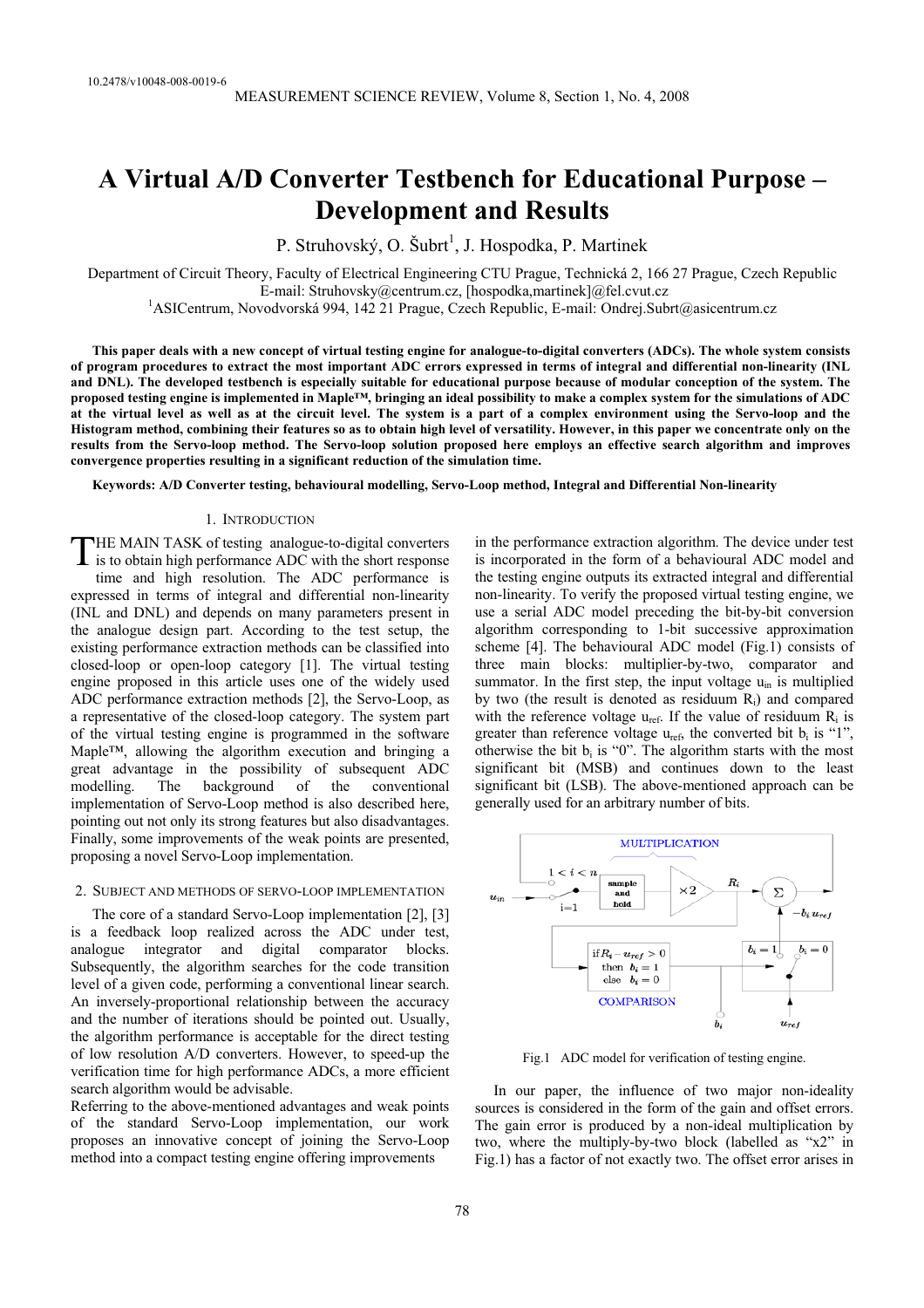# **A Virtual A/D Converter Testbench for Educational Purpose – Development and Results**

P. Struhovský, O. Šubrt<sup>1</sup>, J. Hospodka, P. Martinek

Department of Circuit Theory, Faculty of Electrical Engineering CTU Prague, Technická 2, 166 27 Prague, Czech Republic E-mail: Struhovsky@centrum.cz, [hospodka,martinek]@fel.cvut.cz 1

<sup>1</sup>ASICentrum, Novodvorská 994, 142 21 Prague, Czech Republic, E-mail: Ondrej.Subrt@asicentrum.cz

**This paper deals with a new concept of virtual testing engine for analogue-to-digital converters (ADCs). The whole system consists of program procedures to extract the most important ADC errors expressed in terms of integral and differential non-linearity (INL and DNL). The developed testbench is especially suitable for educational purpose because of modular conception of the system. The proposed testing engine is implemented in Maple™, bringing an ideal possibility to make a complex system for the simulations of ADC at the virtual level as well as at the circuit level. The system is a part of a complex environment using the Servo-loop and the Histogram method, combining their features so as to obtain high level of versatility. However, in this paper we concentrate only on the results from the Servo-loop method. The Servo-loop solution proposed here employs an effective search algorithm and improves convergence properties resulting in a significant reduction of the simulation time.** 

**Keywords: A/D Converter testing, behavioural modelling, Servo-Loop method, Integral and Differential Non-linearity** 

### 1. INTRODUCTION

HE MAIN TASK of testing analogue-to-digital converters THE MAIN TASK of testing analogue-to-digital converters<br>is to obtain high performance ADC with the short response time and high resolution. The ADC performance is expressed in terms of integral and differential non-linearity (INL and DNL) and depends on many parameters present in the analogue design part. According to the test setup, the existing performance extraction methods can be classified into closed-loop or open-loop category [1]. The virtual testing engine proposed in this article uses one of the widely used ADC performance extraction methods [2], the Servo-Loop, as a representative of the closed-loop category. The system part of the virtual testing engine is programmed in the software Maple™, allowing the algorithm execution and bringing a great advantage in the possibility of subsequent ADC modelling. The background of the conventional implementation of Servo-Loop method is also described here, pointing out not only its strong features but also disadvantages. Finally, some improvements of the weak points are presented, proposing a novel Servo-Loop implementation.

## 2. SUBJECT AND METHODS OF SERVO-LOOP IMPLEMENTATION

The core of a standard Servo-Loop implementation [2], [3] is a feedback loop realized across the ADC under test, analogue integrator and digital comparator blocks. Subsequently, the algorithm searches for the code transition level of a given code, performing a conventional linear search. An inversely-proportional relationship between the accuracy and the number of iterations should be pointed out. Usually, the algorithm performance is acceptable for the direct testing of low resolution A/D converters. However, to speed-up the verification time for high performance ADCs, a more efficient search algorithm would be advisable.

Referring to the above-mentioned advantages and weak points of the standard Servo-Loop implementation, our work proposes an innovative concept of joining the Servo-Loop method into a compact testing engine offering improvements

in the performance extraction algorithm. The device under test is incorporated in the form of a behavioural ADC model and the testing engine outputs its extracted integral and differential non-linearity. To verify the proposed virtual testing engine, we use a serial ADC model preceding the bit-by-bit conversion algorithm corresponding to 1-bit successive approximation scheme [4]. The behavioural ADC model (Fig.1) consists of three main blocks: multiplier-by-two, comparator and summator. In the first step, the input voltage  $u_{in}$  is multiplied by two (the result is denoted as residuum  $R_i$ ) and compared with the reference voltage  $u_{ref}$ . If the value of residuum  $R_i$  is greater than reference voltage  $u_{ref}$ , the converted bit  $b_i$  is "1", otherwise the bit  $b_i$  is "0". The algorithm starts with the most significant bit (MSB) and continues down to the least significant bit (LSB). The above-mentioned approach can be generally used for an arbitrary number of bits.



Fig.1 ADC model for verification of testing engine.

 In our paper, the influence of two major non-ideality sources is considered in the form of the gain and offset errors. The gain error is produced by a non-ideal multiplication by two, where the multiply-by-two block (labelled as "x2" in Fig.1) has a factor of not exactly two. The offset error arises in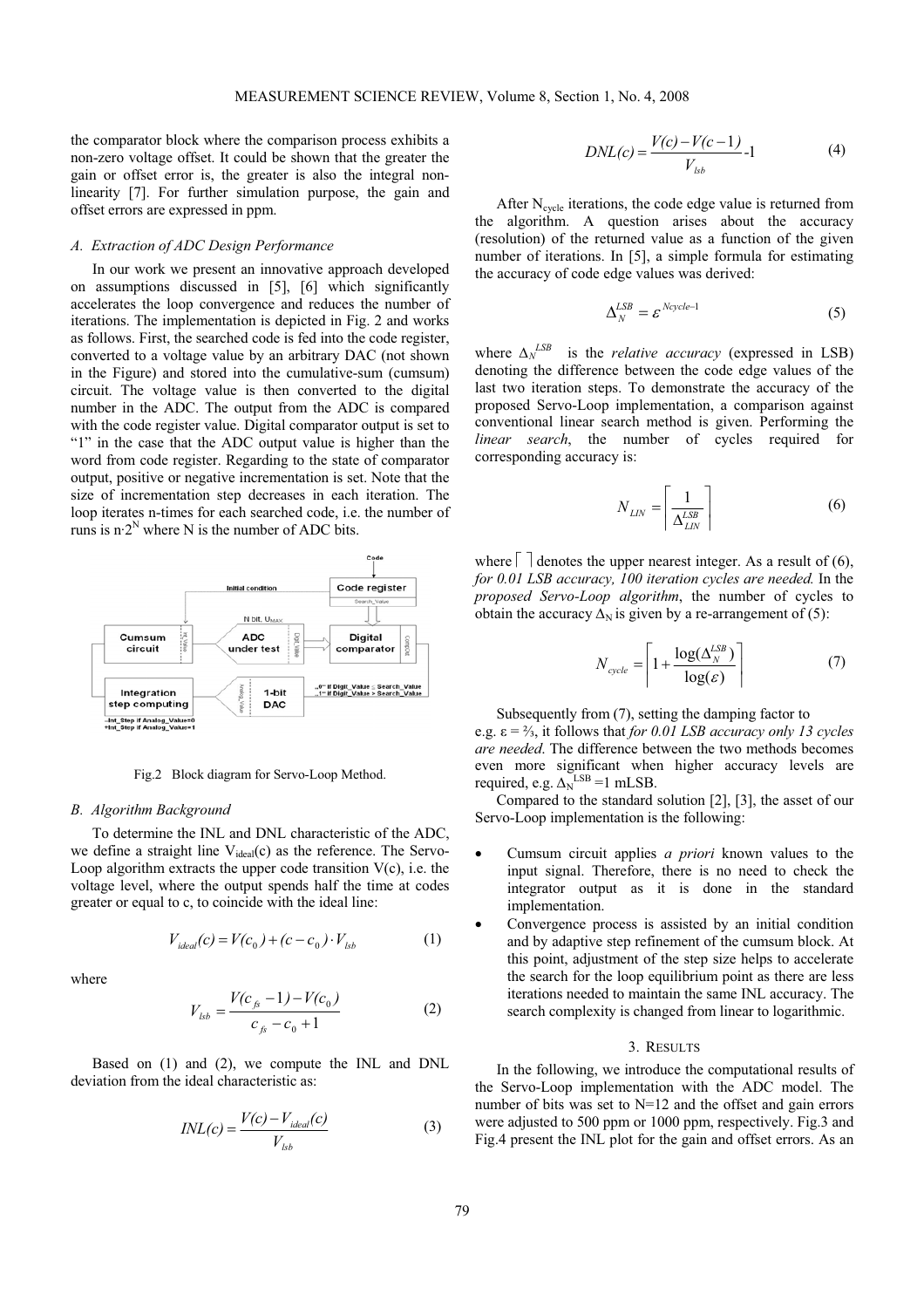the comparator block where the comparison process exhibits a non-zero voltage offset. It could be shown that the greater the gain or offset error is, the greater is also the integral nonlinearity [7]. For further simulation purpose, the gain and offset errors are expressed in ppm.

## *A. Extraction of ADC Design Performance*

In our work we present an innovative approach developed on assumptions discussed in [5], [6] which significantly accelerates the loop convergence and reduces the number of iterations. The implementation is depicted in Fig. 2 and works as follows. First, the searched code is fed into the code register, converted to a voltage value by an arbitrary DAC (not shown in the Figure) and stored into the cumulative-sum (cumsum) circuit. The voltage value is then converted to the digital number in the ADC. The output from the ADC is compared with the code register value. Digital comparator output is set to "1" in the case that the ADC output value is higher than the word from code register. Regarding to the state of comparator output, positive or negative incrementation is set. Note that the size of incrementation step decreases in each iteration. The loop iterates n-times for each searched code, i.e. the number of runs is  $n·2^N$  where N is the number of ADC bits.



Fig.2 Block diagram for Servo-Loop Method.

### *B. Algorithm Background*

To determine the INL and DNL characteristic of the ADC, we define a straight line  $V_{ideal}(c)$  as the reference. The Servo-Loop algorithm extracts the upper code transition  $V(c)$ , i.e. the voltage level, where the output spends half the time at codes greater or equal to c, to coincide with the ideal line:

$$
V_{ideal}(c) = V(c_0) + (c - c_0) \cdot V_{lsb}
$$
 (1)

where

$$
V_{lsb} = \frac{V(c_{fs} - 1) - V(c_0)}{c_{fs} - c_0 + 1}
$$
 (2)

Based on (1) and (2), we compute the INL and DNL deviation from the ideal characteristic as:

$$
INL(c) = \frac{V(c) - V_{ideal}(c)}{V_{lsb}}
$$
\n(3)

$$
DNL(c) = \frac{V(c) - V(c-1)}{V_{lsb}} - 1
$$
 (4)

After  $N_{\text{cycle}}$  iterations, the code edge value is returned from the algorithm. A question arises about the accuracy (resolution) of the returned value as a function of the given number of iterations. In [5], a simple formula for estimating the accuracy of code edge values was derived:

$$
\Delta_N^{LSB} = \varepsilon^{Ncycle-1} \tag{5}
$$

where  $\Delta_N^{LSB}$  is the *relative accuracy* (expressed in LSB) denoting the difference between the code edge values of the last two iteration steps. To demonstrate the accuracy of the proposed Servo-Loop implementation, a comparison against conventional linear search method is given. Performing the *linear search*, the number of cycles required for corresponding accuracy is:

$$
N_{LN} = \left\lceil \frac{1}{\Delta_{LN}^{LSB}} \right\rceil \tag{6}
$$

where  $\lceil \cdot \rceil$  denotes the upper nearest integer. As a result of (6), *for 0.01 LSB accuracy, 100 iteration cycles are needed.* In the *proposed Servo-Loop algorithm*, the number of cycles to obtain the accuracy  $\Delta_N$  is given by a re-arrangement of (5):

$$
N_{cycle} = \left[1 + \frac{\log(\Delta_N^{LSB})}{\log(\varepsilon)}\right]
$$
 (7)

Subsequently from (7), setting the damping factor to

e.g.  $\epsilon = 2/3$ , it follows that *for 0.01 LSB accuracy only 13 cycles are needed*. The difference between the two methods becomes even more significant when higher accuracy levels are required, e.g.  $\Delta_N$ <sup>LSB</sup> =1 mLSB.

Compared to the standard solution [2], [3], the asset of our Servo-Loop implementation is the following:

- x Cumsum circuit applies *a priori* known values to the input signal. Therefore, there is no need to check the integrator output as it is done in the standard implementation.
- Convergence process is assisted by an initial condition and by adaptive step refinement of the cumsum block. At this point, adjustment of the step size helps to accelerate the search for the loop equilibrium point as there are less iterations needed to maintain the same INL accuracy. The search complexity is changed from linear to logarithmic.

#### 3. RESULTS

In the following, we introduce the computational results of the Servo-Loop implementation with the ADC model. The number of bits was set to N=12 and the offset and gain errors were adjusted to 500 ppm or 1000 ppm, respectively. Fig.3 and Fig.4 present the INL plot for the gain and offset errors. As an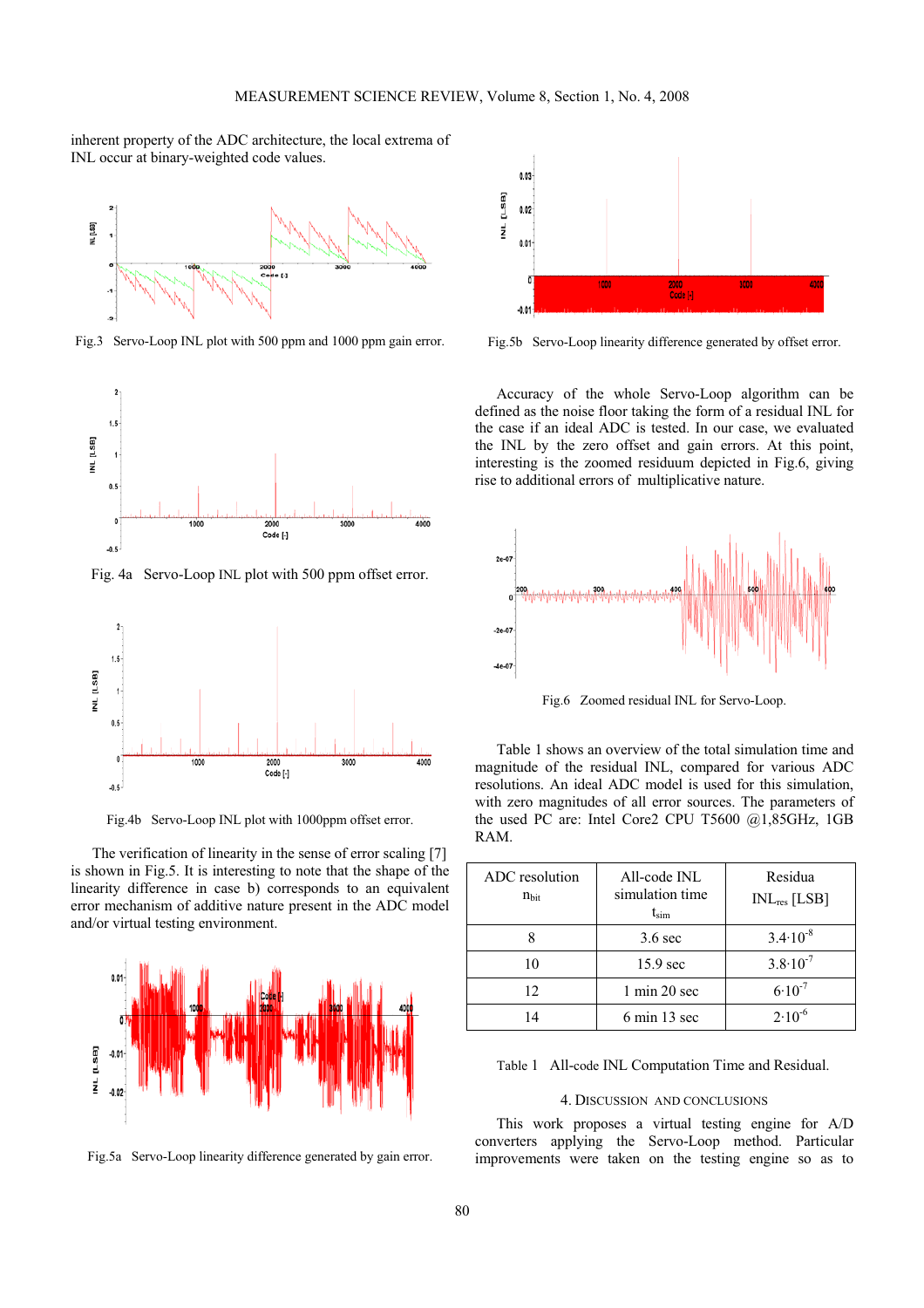inherent property of the ADC architecture, the local extrema of INL occur at binary-weighted code values.



Fig.3 Servo-Loop INL plot with 500 ppm and 1000 ppm gain error.



Fig. 4a Servo-Loop INL plot with 500 ppm offset error.



Fig.4b Servo-Loop INL plot with 1000ppm offset error.

The verification of linearity in the sense of error scaling [7] is shown in Fig.5. It is interesting to note that the shape of the linearity difference in case b) corresponds to an equivalent error mechanism of additive nature present in the ADC model and/or virtual testing environment.



Fig.5a Servo-Loop linearity difference generated by gain error.



Fig.5b Servo-Loop linearity difference generated by offset error.

Accuracy of the whole Servo-Loop algorithm can be defined as the noise floor taking the form of a residual INL for the case if an ideal ADC is tested. In our case, we evaluated the INL by the zero offset and gain errors. At this point, interesting is the zoomed residuum depicted in Fig.6, giving rise to additional errors of multiplicative nature.



Fig.6 Zoomed residual INL for Servo-Loop.

Table 1 shows an overview of the total simulation time and magnitude of the residual INL, compared for various ADC resolutions. An ideal ADC model is used for this simulation, with zero magnitudes of all error sources. The parameters of the used PC are: Intel Core2 CPU T5600 @1,85GHz, 1GB RAM.

| ADC resolution<br>$n_{\text{bit}}$ | All-code INL<br>simulation time<br>$t_{\text{sim}}$ | Residua<br>$\text{INL}_{\text{res}}$ [LSB] |
|------------------------------------|-----------------------------------------------------|--------------------------------------------|
|                                    | $3.6$ sec                                           | $3.4 \cdot 10^{-8}$                        |
| 10                                 | $15.9 \text{ sec}$                                  | $3.8 \cdot 10^{-7}$                        |
| 12                                 | 1 min 20 sec                                        | $6.10^{-7}$                                |
| 14                                 | 6 min 13 sec                                        | $2.10^{-6}$                                |

Table 1 All-code INL Computation Time and Residual.

### 4. DISCUSSION AND CONCLUSIONS

This work proposes a virtual testing engine for A/D converters applying the Servo-Loop method. Particular improvements were taken on the testing engine so as to